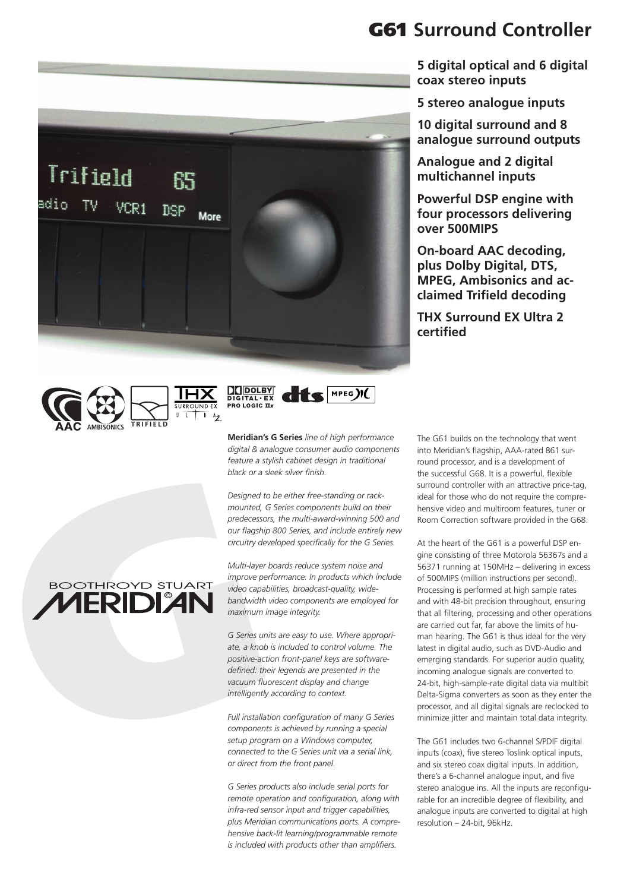







**Meridian's G Series** *line of high performance digital & analogue consumer audio components feature a stylish cabinet design in traditional black or a sleek silver finish.* 

*Designed to be either free-standing or rackmounted, G Series components build on their predecessors, the multi-award-winning 500 and our flagship 800 Series, and include entirely new circuitry developed specifically for the G Series.* 

*Multi-layer boards reduce system noise and improve performance. In products which include video capabilities, broadcast-quality, widebandwidth video components are employed for maximum image integrity.*

*G Series units are easy to use. Where appropriate, a knob is included to control volume. The positive-action front-panel keys are softwaredefined: their legends are presented in the vacuum fluorescent display and change intelligently according to context.*

*Full installation configuration of many G Series components is achieved by running a special setup program on a Windows computer, connected to the G Series unit via a serial link, or direct from the front panel.*

*G Series products also include serial ports for remote operation and configuration, along with infra-red sensor input and trigger capabilities, plus Meridian communications ports. A comprehensive back-lit learning/programmable remote is included with products other than amplifiers.*

#### The G61 builds on the technology that went into Meridian's flagship, AAA-rated 861 surround processor, and is a development of the successful G68. It is a powerful, flexible surround controller with an attractive price-tag, ideal for those who do not require the comprehensive video and multiroom features, tuner or Room Correction software provided in the G68.

At the heart of the G61 is a powerful DSP engine consisting of three Motorola 56367s and a 56371 running at 150MHz – delivering in excess of 500MIPS (million instructions per second). Processing is performed at high sample rates and with 48-bit precision throughout, ensuring that all filtering, processing and other operations are carried out far, far above the limits of human hearing. The G61 is thus ideal for the very latest in digital audio, such as DVD-Audio and emerging standards. For superior audio quality, incoming analogue signals are converted to 24-bit, high-sample-rate digital data via multibit Delta-Sigma converters as soon as they enter the processor, and all digital signals are reclocked to minimize jitter and maintain total data integrity.

The G61 includes two 6-channel S/PDIF digital inputs (coax), five stereo Toslink optical inputs, and six stereo coax digital inputs. In addition, there's a 6-channel analogue input, and five stereo analogue ins. All the inputs are reconfigurable for an incredible degree of flexibility, and analogue inputs are converted to digital at high resolution – 24-bit, 96kHz.

# **BOOTHROYD STUART 1ERIDIAN**

### G61 **Surround Controller**

**5 digital optical and 6 digital coax stereo inputs** 

**5 stereo analogue inputs**

**10 digital surround and 8 analogue surround outputs**

**Analogue and 2 digital multichannel inputs**

**Powerful DSP engine with four processors delivering over 500MIPS**

**On-board AAC decoding, plus Dolby Digital, DTS, MPEG, Ambisonics and acclaimed Trifield decoding**

**THX Surround EX Ultra 2 certified**